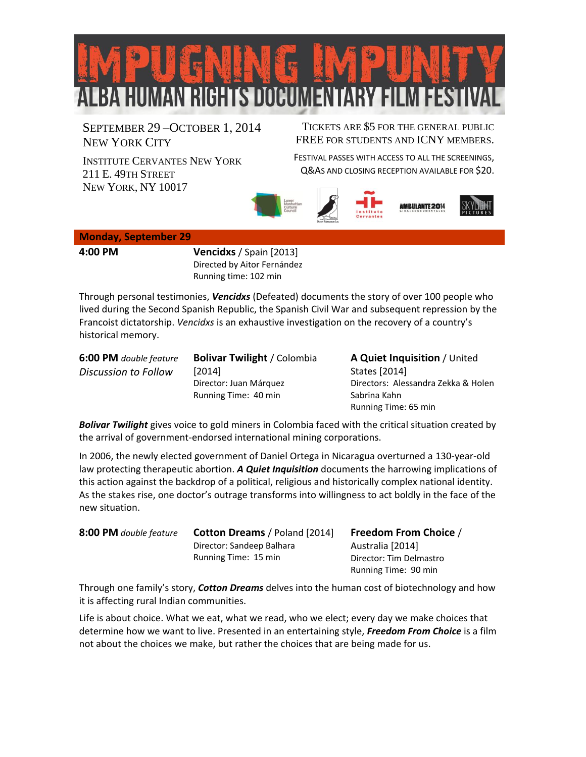

SEPTEMBER 29 –OCTOBER 1, 2014 NEW YORK CITY

TICKETS ARE \$5 FOR THE GENERAL PUBLIC FREE FOR STUDENTS AND ICNY MEMBERS.

INSTITUTE CERVANTES NEW YORK 211 E. 49TH STREET NEW YORK, NY 10017

FESTIVAL PASSES WITH ACCESS TO ALL THE SCREENINGS, Q&AS AND CLOSING RECEPTION AVAILABLE FOR \$20.







## **Monday, September 29**

**4:00 PM Vencidxs** / Spain [2013] Directed by Aitor Fernández Running time: 102 min

Through personal testimonies, *Vencidxs* (Defeated) documents the story of over 100 people who lived during the Second Spanish Republic, the Spanish Civil War and subsequent repression by the Francoist dictatorship. *Vencidxs* is an exhaustive investigation on the recovery of a country's historical memory.

**6:00 PM** *double feature Discussion to Follow*

**Bolivar Twilight** / Colombia [2014] Director: Juan Márquez Running Time: 40 min

**A Quiet Inquisition** / United States [2014] Directors: Alessandra Zekka & Holen Sabrina Kahn Running Time: 65 min

*Bolivar Twilight* gives voice to gold miners in Colombia faced with the critical situation created by the arrival of government-endorsed international mining corporations.

In 2006, the newly elected government of Daniel Ortega in Nicaragua overturned a 130-year-old law protecting therapeutic abortion. *A Quiet Inquisition* documents the harrowing implications of this action against the backdrop of a political, religious and historically complex national identity. As the stakes rise, one doctor's outrage transforms into willingness to act boldly in the face of the new situation.

| 8:00 PM double feature | <b>Cotton Dreams / Poland [2014]</b> | <b>Freedom From Choice /</b> |
|------------------------|--------------------------------------|------------------------------|
|                        | Director: Sandeep Balhara            | Australia [2014]             |
|                        | Running Time: 15 min                 | Director: Tim Delmastro      |
|                        |                                      | Running Time: 90 min         |

Through one family's story, *Cotton Dreams* delves into the human cost of biotechnology and how it is affecting rural Indian communities.

Life is about choice. What we eat, what we read, who we elect; every day we make choices that determine how we want to live. Presented in an entertaining style, *Freedom From Choice* is a film not about the choices we make, but rather the choices that are being made for us.